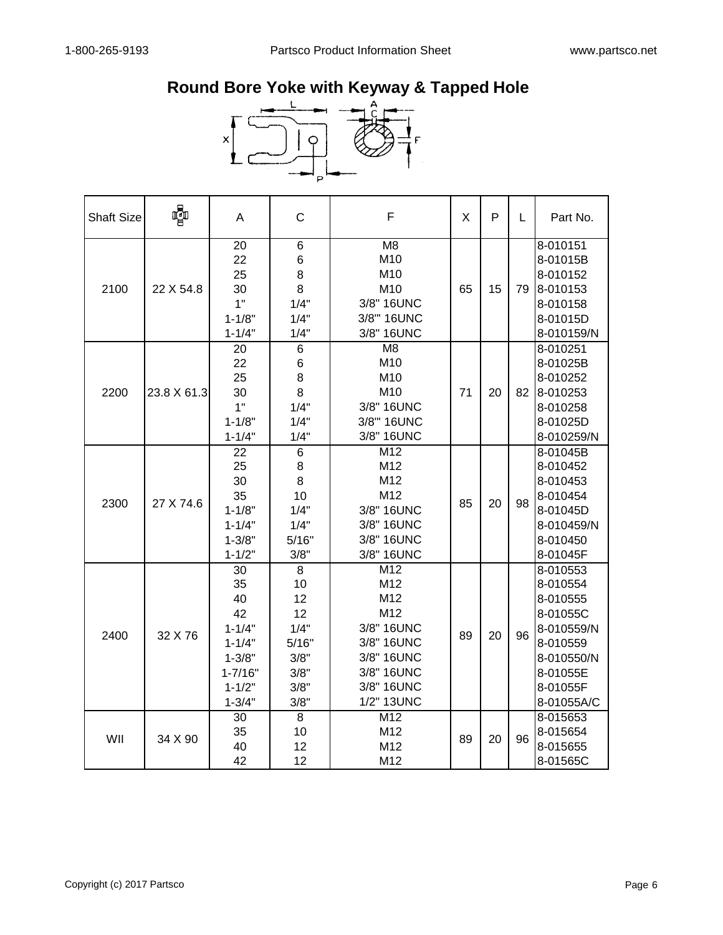## **Round Bore Yoke with Keyway & Tapped Hole**



| <b>Shaft Size</b> | Ç           | A                                                                                                         | $\mathsf{C}$                                                         | F                                                                                                            | X  | P  | L  | Part No.                                                                                                                   |
|-------------------|-------------|-----------------------------------------------------------------------------------------------------------|----------------------------------------------------------------------|--------------------------------------------------------------------------------------------------------------|----|----|----|----------------------------------------------------------------------------------------------------------------------------|
| 2100              | 22 X 54.8   | 20<br>22<br>25<br>30<br>1"<br>$1 - 1/8"$<br>$1 - 1/4"$                                                    | 6<br>6<br>8<br>8<br>1/4"<br>1/4"<br>1/4"                             | M8<br>M10<br>M10<br>M10<br>3/8" 16UNC<br>3/8" 16UNC<br>3/8" 16UNC                                            | 65 | 15 | 79 | 8-010151<br>8-01015B<br>8-010152<br>8-010153<br>8-010158<br>8-01015D<br>8-010159/N                                         |
| 2200              | 23.8 X 61.3 | 20<br>22<br>25<br>30<br>1"<br>$1 - 1/8"$<br>$1 - 1/4"$                                                    | 6<br>6<br>8<br>8<br>1/4"<br>1/4"<br>1/4"                             | M <sub>8</sub><br>M10<br>M10<br>M10<br>3/8" 16UNC<br>3/8" 16UNC<br>3/8" 16UNC                                | 71 | 20 | 82 | 8-010251<br>8-01025B<br>8-010252<br>8-010253<br>8-010258<br>8-01025D<br>8-010259/N                                         |
| 2300              | 27 X 74.6   | 22<br>25<br>30<br>35<br>$1 - 1/8"$<br>$1 - 1/4"$<br>$1 - 3/8"$<br>$1 - 1/2"$                              | 6<br>8<br>8<br>10<br>1/4"<br>1/4"<br>5/16"<br>3/8"                   | M12<br>M12<br>M12<br>M12<br>3/8" 16UNC<br>3/8" 16UNC<br>3/8" 16UNC<br>3/8" 16UNC                             | 85 | 20 | 98 | 8-01045B<br>8-010452<br>8-010453<br>8-010454<br>8-01045D<br>8-010459/N<br>8-010450<br>8-01045F                             |
| 2400              | 32 X 76     | 30<br>35<br>40<br>42<br>$1 - 1/4"$<br>$1 - 1/4"$<br>$1 - 3/8"$<br>$1 - 7/16"$<br>$1 - 1/2"$<br>$1 - 3/4"$ | 8<br>10<br>12<br>12<br>1/4"<br>5/16"<br>3/8"<br>3/8"<br>3/8"<br>3/8" | M12<br>M12<br>M12<br>M12<br>3/8" 16UNC<br>3/8" 16UNC<br>3/8" 16UNC<br>3/8" 16UNC<br>3/8" 16UNC<br>1/2" 13UNC | 89 | 20 | 96 | 8-010553<br>8-010554<br>8-010555<br>8-01055C<br>8-010559/N<br>8-010559<br>8-010550/N<br>8-01055E<br>8-01055F<br>8-01055A/C |
| WII               | 34 X 90     | 30<br>35<br>40<br>42                                                                                      | 8<br>10<br>12<br>12                                                  | M12<br>M12<br>M12<br>M12                                                                                     | 89 | 20 | 96 | 8-015653<br>8-015654<br>8-015655<br>8-01565C                                                                               |